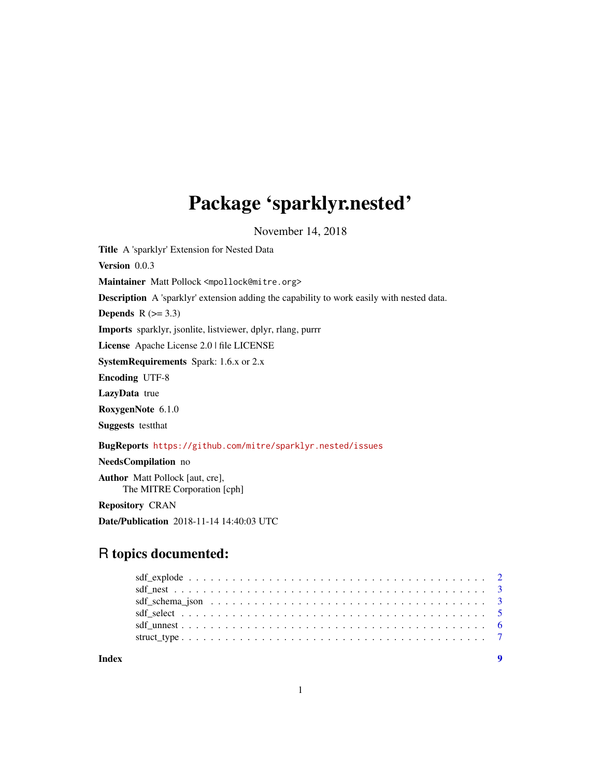# Package 'sparklyr.nested'

November 14, 2018

<span id="page-0-0"></span>Title A 'sparklyr' Extension for Nested Data Version 0.0.3 Maintainer Matt Pollock <mpollock@mitre.org> Description A 'sparklyr' extension adding the capability to work easily with nested data. Depends  $R$  ( $>= 3.3$ ) Imports sparklyr, jsonlite, listviewer, dplyr, rlang, purrr License Apache License 2.0 | file LICENSE SystemRequirements Spark: 1.6.x or 2.x Encoding UTF-8 LazyData true RoxygenNote 6.1.0 Suggests testthat BugReports <https://github.com/mitre/sparklyr.nested/issues> NeedsCompilation no Author Matt Pollock [aut, cre], The MITRE Corporation [cph] Repository CRAN Date/Publication 2018-11-14 14:40:03 UTC

## R topics documented:

**Index** [9](#page-8-0)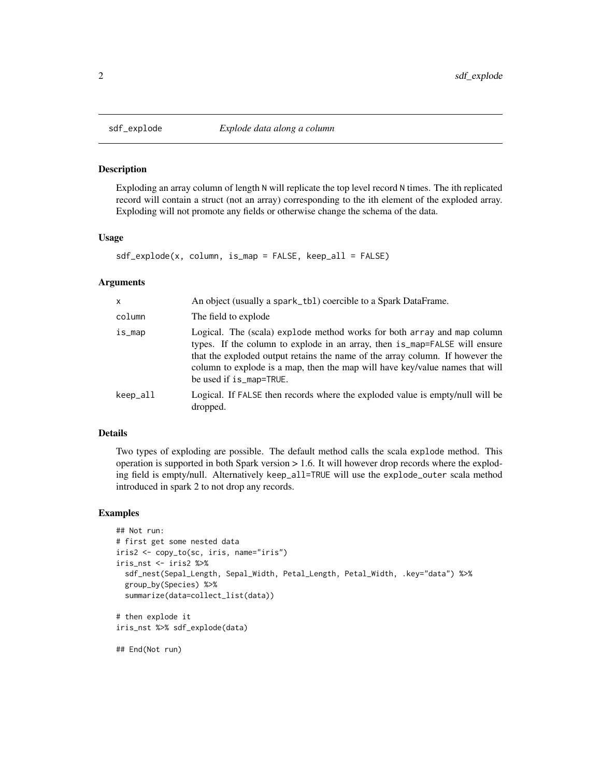#### Description

Exploding an array column of length N will replicate the top level record N times. The ith replicated record will contain a struct (not an array) corresponding to the ith element of the exploded array. Exploding will not promote any fields or otherwise change the schema of the data.

#### Usage

```
sdf_explode(x, column, is_map = FALSE, keep_all = FALSE)
```
#### Arguments

| X        | An object (usually a spark_tb1) coercible to a Spark DataFrame.                                                                                                                                                                                                                                                                                   |
|----------|---------------------------------------------------------------------------------------------------------------------------------------------------------------------------------------------------------------------------------------------------------------------------------------------------------------------------------------------------|
| column   | The field to explode                                                                                                                                                                                                                                                                                                                              |
| is_map   | Logical. The (scala) explode method works for both array and map column<br>types. If the column to explode in an array, then is_map=FALSE will ensure<br>that the exploded output retains the name of the array column. If however the<br>column to explode is a map, then the map will have key/value names that will<br>be used if is_map=TRUE. |
| keep_all | Logical. If FALSE then records where the exploded value is empty/null will be<br>dropped.                                                                                                                                                                                                                                                         |

### Details

Two types of exploding are possible. The default method calls the scala explode method. This operation is supported in both Spark version > 1.6. It will however drop records where the exploding field is empty/null. Alternatively keep\_all=TRUE will use the explode\_outer scala method introduced in spark 2 to not drop any records.

#### Examples

```
## Not run:
# first get some nested data
iris2 <- copy_to(sc, iris, name="iris")
iris_nst <- iris2 %>%
 sdf_nest(Sepal_Length, Sepal_Width, Petal_Length, Petal_Width, .key="data") %>%
 group_by(Species) %>%
 summarize(data=collect_list(data))
# then explode it
iris_nst %>% sdf_explode(data)
```
## End(Not run)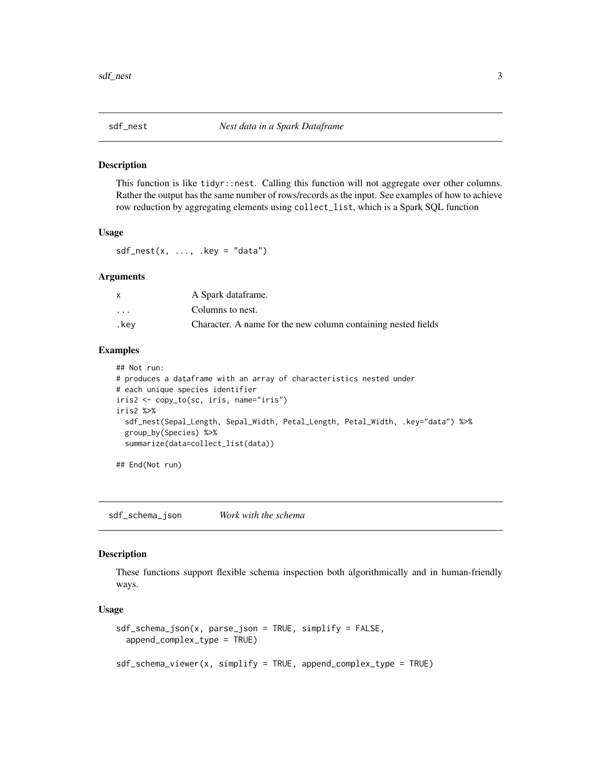<span id="page-2-0"></span>

#### Description

This function is like tidyr::nest. Calling this function will not aggregate over other columns. Rather the output has the same number of rows/records as the input. See examples of how to achieve row reduction by aggregating elements using collect\_list, which is a Spark SQL function

#### Usage

 $sdf_nest(x, ..., key = "data")$ 

#### Arguments

|                         | A Spark dataframe.                                            |
|-------------------------|---------------------------------------------------------------|
| $\cdot$ $\cdot$ $\cdot$ | Columns to nest.                                              |
| .kev                    | Character. A name for the new column containing nested fields |

#### Examples

## Not run:

```
# produces a dataframe with an array of characteristics nested under
# each unique species identifier
iris2 <- copy_to(sc, iris, name="iris")
iris2 %>%
 sdf_nest(Sepal_Length, Sepal_Width, Petal_Length, Petal_Width, .key="data") %>%
 group_by(Species) %>%
 summarize(data=collect_list(data))
```
## End(Not run)

sdf\_schema\_json *Work with the schema*

#### Description

These functions support flexible schema inspection both algorithmically and in human-friendly ways.

#### Usage

```
sdf_schema_json(x, parse_json = TRUE, simplify = FALSE,
 append_complex_type = TRUE)
```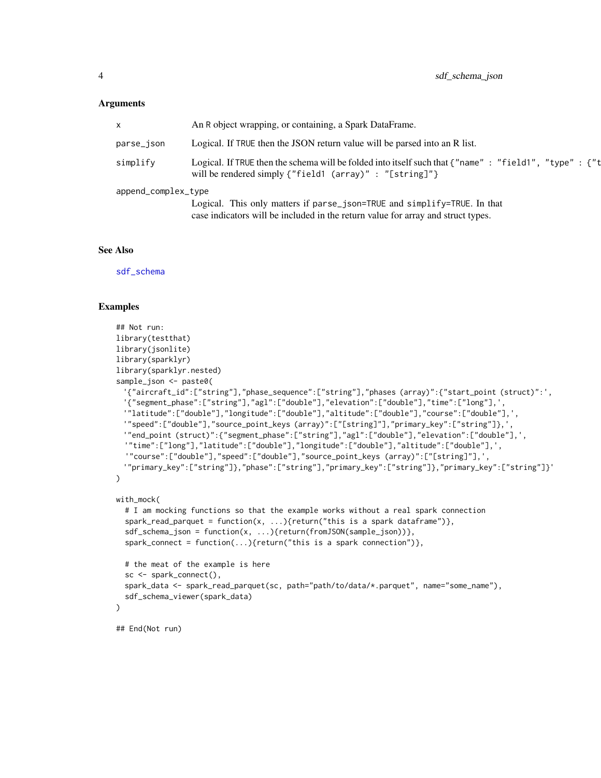#### <span id="page-3-0"></span>Arguments

|                     | An R object wrapping, or containing, a Spark DataFrame.                                                                                                         |
|---------------------|-----------------------------------------------------------------------------------------------------------------------------------------------------------------|
| parse_json          | Logical. If TRUE then the JSON return value will be parsed into an R list.                                                                                      |
| simplify            | Logical. If TRUE then the schema will be folded into itself such that {"name": "field1", "type": {"t<br>will be rendered simply {"field1 (array)" : "[string]"} |
| append_complex_type |                                                                                                                                                                 |
|                     | Logical. This only matters if parse_json=TRUE and simplify=TRUE. In that                                                                                        |
|                     | case indicators will be included in the return value for array and struct types.                                                                                |

#### See Also

[sdf\\_schema](#page-0-0)

#### Examples

```
## Not run:
library(testthat)
library(jsonlite)
library(sparklyr)
library(sparklyr.nested)
sample_json <- paste0(
 '{"aircraft_id":["string"],"phase_sequence":["string"],"phases (array)":{"start_point (struct)":',
 '{"segment_phase":["string"],"agl":["double"],"elevation":["double"],"time":["long"],',
 '"latitude":["double"],"longitude":["double"],"altitude":["double"],"course":["double"],',
 '"speed":["double"],"source_point_keys (array)":["[string]"],"primary_key":["string"]},',
 '"end_point (struct)":{"segment_phase":["string"],"agl":["double"],"elevation":["double"],',
 '"time":["long"],"latitude":["double"],"longitude":["double"],"altitude":["double"],',
  '"course":["double"],"speed":["double"],"source_point_keys (array)":["[string]"],',
 '"primary_key":["string"]},"phase":["string"],"primary_key":["string"]},"primary_key":["string"]}'
\mathcal{L}with_mock(
 # I am mocking functions so that the example works without a real spark connection
 spark_read_parquet = function(x, ...){return("this is a spark dataframe")},
 sdf_schema_json = function(x, ...){return(fromJSON(sample_json))},
 spark_connect = function(...){return("this is a spark connection")},
 # the meat of the example is here
 sc <- spark_connect(),
 spark_data <- spark_read_parquet(sc, path="path/to/data/*.parquet", name="some_name"),
 sdf_schema_viewer(spark_data)
\lambda## End(Not run)
```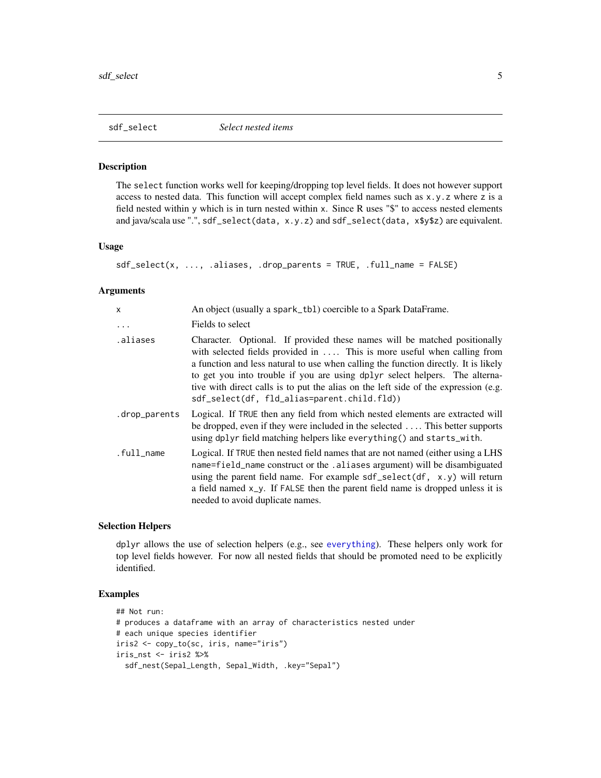<span id="page-4-1"></span><span id="page-4-0"></span>

### Description

The select function works well for keeping/dropping top level fields. It does not however support access to nested data. This function will accept complex field names such as  $x, y, z$  where z is a field nested within y which is in turn nested within x. Since R uses "\$" to access nested elements and java/scala use ".", sdf\_select(data, x.y.z) and sdf\_select(data, x\$y\$z) are equivalent.

#### Usage

```
sdf_select(x, ..., .aliases, .drop_parents = TRUE, .full_name = FALSE)
```
#### Arguments

| x             | An object (usually a spark_tb1) coercible to a Spark DataFrame.                                                                                                                                                                                                                                                                                                                                                                                                           |
|---------------|---------------------------------------------------------------------------------------------------------------------------------------------------------------------------------------------------------------------------------------------------------------------------------------------------------------------------------------------------------------------------------------------------------------------------------------------------------------------------|
| .             | Fields to select                                                                                                                                                                                                                                                                                                                                                                                                                                                          |
| .aliases      | Character. Optional. If provided these names will be matched positionally<br>with selected fields provided in $\dots$ . This is more useful when calling from<br>a function and less natural to use when calling the function directly. It is likely<br>to get you into trouble if you are using dplyr select helpers. The alterna-<br>tive with direct calls is to put the alias on the left side of the expression (e.g.<br>sdf_select(df, fld_alias=parent.child.fld)) |
| .drop_parents | Logical. If TRUE then any field from which nested elements are extracted will<br>be dropped, even if they were included in the selected  This better supports<br>using dplyr field matching helpers like everything() and starts_with.                                                                                                                                                                                                                                    |
| .full_name    | Logical. If TRUE then nested field names that are not named (either using a LHS<br>name=field_name construct or the .aliases argument) will be disambiguated<br>using the parent field name. For example sdf_select(df, x.y) will return<br>a field named $x_y$ . If FALSE then the parent field name is dropped unless it is<br>needed to avoid duplicate names.                                                                                                         |

#### Selection Helpers

dplyr allows the use of selection helpers (e.g., see [everything](#page-0-0)). These helpers only work for top level fields however. For now all nested fields that should be promoted need to be explicitly identified.

#### Examples

```
## Not run:
# produces a dataframe with an array of characteristics nested under
# each unique species identifier
iris2 <- copy_to(sc, iris, name="iris")
iris_nst <- iris2 %>%
  sdf_nest(Sepal_Length, Sepal_Width, .key="Sepal")
```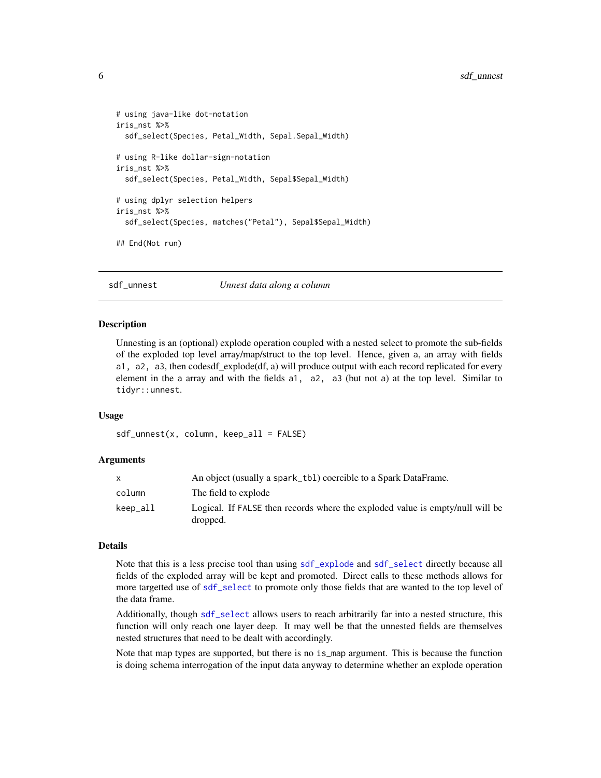```
# using java-like dot-notation
iris_nst %>%
 sdf_select(Species, Petal_Width, Sepal.Sepal_Width)
# using R-like dollar-sign-notation
iris_nst %>%
 sdf_select(Species, Petal_Width, Sepal$Sepal_Width)
# using dplyr selection helpers
iris_nst %>%
 sdf_select(Species, matches("Petal"), Sepal$Sepal_Width)
## End(Not run)
```
sdf\_unnest *Unnest data along a column*

#### Description

Unnesting is an (optional) explode operation coupled with a nested select to promote the sub-fields of the exploded top level array/map/struct to the top level. Hence, given a, an array with fields a1, a2, a3, then codesdf\_explode(df, a) will produce output with each record replicated for every element in the a array and with the fields a1, a2, a3 (but not a) at the top level. Similar to tidyr::unnest.

#### Usage

```
sdf\_unnest(x, column, keep\_all = FALSE)
```
#### Arguments

|          | An object (usually a spark_tb1) coercible to a Spark DataFrame.                           |
|----------|-------------------------------------------------------------------------------------------|
| column   | The field to explode                                                                      |
| keep_all | Logical. If FALSE then records where the exploded value is empty/null will be<br>dropped. |

#### Details

Note that this is a less precise tool than using [sdf\\_explode](#page-1-1) and [sdf\\_select](#page-4-1) directly because all fields of the exploded array will be kept and promoted. Direct calls to these methods allows for more targetted use of [sdf\\_select](#page-4-1) to promote only those fields that are wanted to the top level of the data frame.

Additionally, though [sdf\\_select](#page-4-1) allows users to reach arbitrarily far into a nested structure, this function will only reach one layer deep. It may well be that the unnested fields are themselves nested structures that need to be dealt with accordingly.

Note that map types are supported, but there is no is\_map argument. This is because the function is doing schema interrogation of the input data anyway to determine whether an explode operation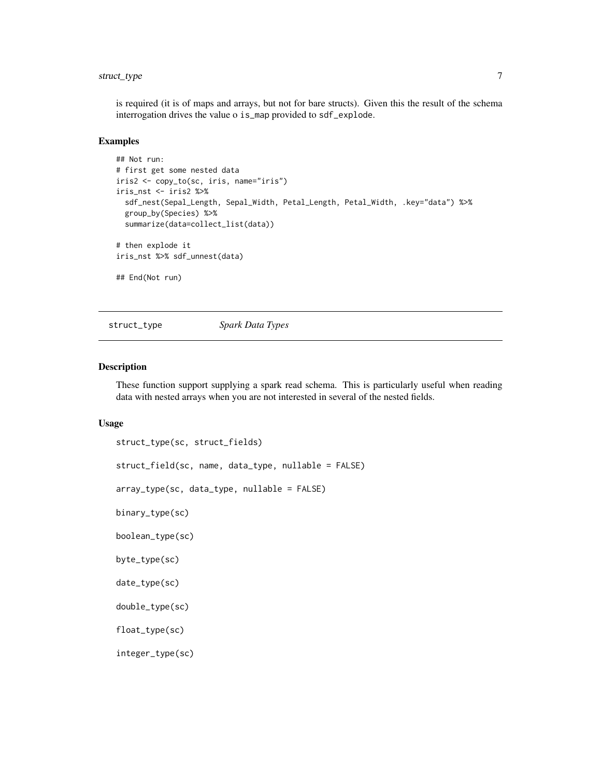### <span id="page-6-0"></span>struct\_type 7

is required (it is of maps and arrays, but not for bare structs). Given this the result of the schema interrogation drives the value o is\_map provided to sdf\_explode.

#### Examples

```
## Not run:
# first get some nested data
iris2 <- copy_to(sc, iris, name="iris")
iris_nst <- iris2 %>%
 sdf_nest(Sepal_Length, Sepal_Width, Petal_Length, Petal_Width, .key="data") %>%
 group_by(Species) %>%
 summarize(data=collect_list(data))
# then explode it
iris_nst %>% sdf_unnest(data)
## End(Not run)
```
struct\_type *Spark Data Types*

#### Description

These function support supplying a spark read schema. This is particularly useful when reading data with nested arrays when you are not interested in several of the nested fields.

#### Usage

```
struct_type(sc, struct_fields)
struct_field(sc, name, data_type, nullable = FALSE)
array_type(sc, data_type, nullable = FALSE)
binary_type(sc)
boolean_type(sc)
byte_type(sc)
date_type(sc)
double_type(sc)
float_type(sc)
```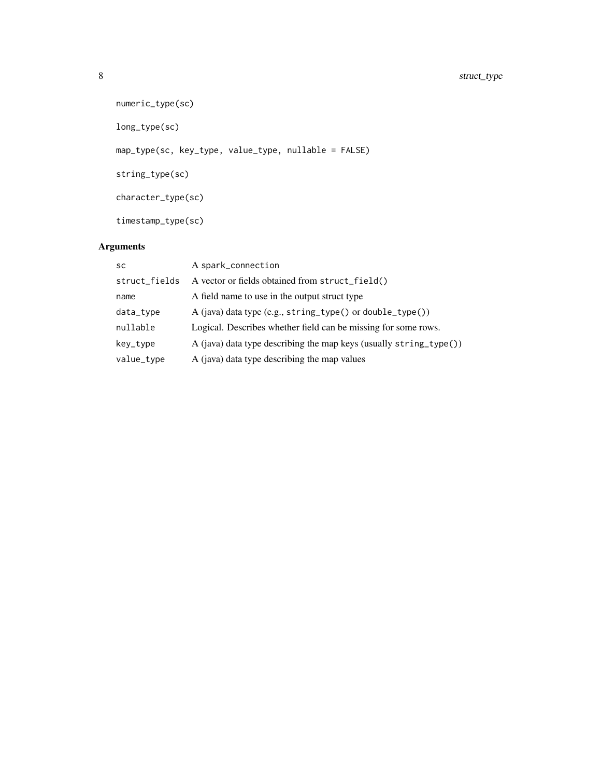```
numeric_type(sc)
long_type(sc)
map_type(sc, key_type, value_type, nullable = FALSE)
string_type(sc)
character_type(sc)
timestamp_type(sc)
```
### Arguments

| <b>SC</b>     | A spark_connection                                                 |
|---------------|--------------------------------------------------------------------|
| struct_fields | A vector or fields obtained from struct_field()                    |
| name          | A field name to use in the output struct type                      |
| data_type     | A (java) data type (e.g., string_type() or double_type())          |
| nullable      | Logical. Describes whether field can be missing for some rows.     |
| key_type      | A (java) data type describing the map keys (usually string_type()) |
| value_type    | A (java) data type describing the map values                       |